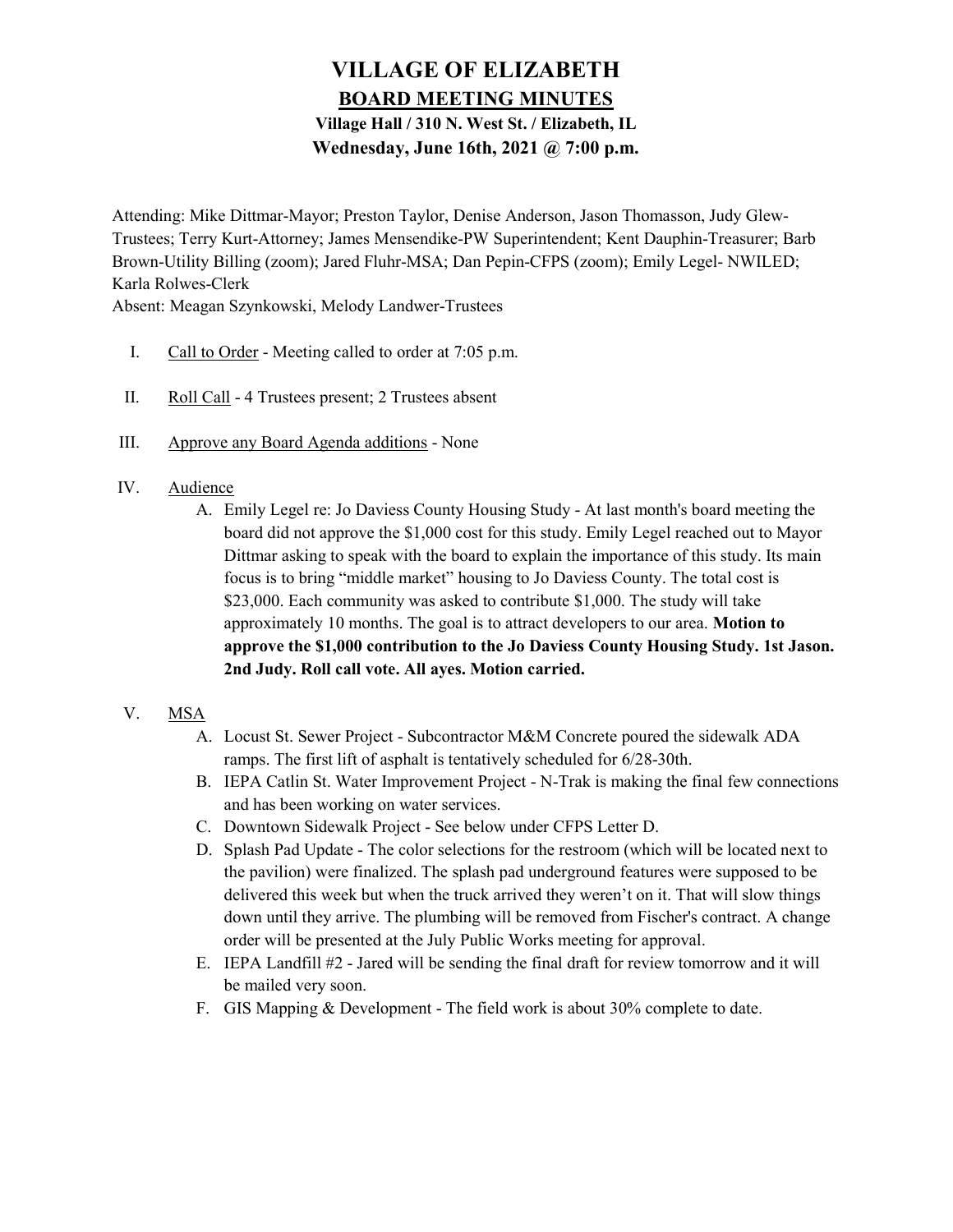# VILLAGE OF ELIZABETH BOARD MEETING MINUTES

# Village Hall / 310 N. West St. / Elizabeth, IL Wednesday, June 16th, 2021 @ 7:00 p.m.

Attending: Mike Dittmar-Mayor; Preston Taylor, Denise Anderson, Jason Thomasson, Judy Glew-Trustees; Terry Kurt-Attorney; James Mensendike-PW Superintendent; Kent Dauphin-Treasurer; Barb Brown-Utility Billing (zoom); Jared Fluhr-MSA; Dan Pepin-CFPS (zoom); Emily Legel- NWILED; Karla Rolwes-Clerk

Absent: Meagan Szynkowski, Melody Landwer-Trustees

- I. Call to Order Meeting called to order at 7:05 p.m.
- II. Roll Call 4 Trustees present; 2 Trustees absent
- III. Approve any Board Agenda additions None
- IV. Audience
	- A. Emily Legel re: Jo Daviess County Housing Study At last month's board meeting the board did not approve the \$1,000 cost for this study. Emily Legel reached out to Mayor Dittmar asking to speak with the board to explain the importance of this study. Its main focus is to bring "middle market" housing to Jo Daviess County. The total cost is \$23,000. Each community was asked to contribute \$1,000. The study will take approximately 10 months. The goal is to attract developers to our area. Motion to approve the \$1,000 contribution to the Jo Daviess County Housing Study. 1st Jason. 2nd Judy. Roll call vote. All ayes. Motion carried.
- V. MSA
	- A. Locust St. Sewer Project Subcontractor M&M Concrete poured the sidewalk ADA ramps. The first lift of asphalt is tentatively scheduled for 6/28-30th.
	- B. IEPA Catlin St. Water Improvement Project N-Trak is making the final few connections and has been working on water services.
	- C. Downtown Sidewalk Project See below under CFPS Letter D.
	- D. Splash Pad Update The color selections for the restroom (which will be located next to the pavilion) were finalized. The splash pad underground features were supposed to be delivered this week but when the truck arrived they weren't on it. That will slow things down until they arrive. The plumbing will be removed from Fischer's contract. A change order will be presented at the July Public Works meeting for approval.
	- E. IEPA Landfill #2 Jared will be sending the final draft for review tomorrow and it will be mailed very soon.
	- F. GIS Mapping & Development The field work is about 30% complete to date.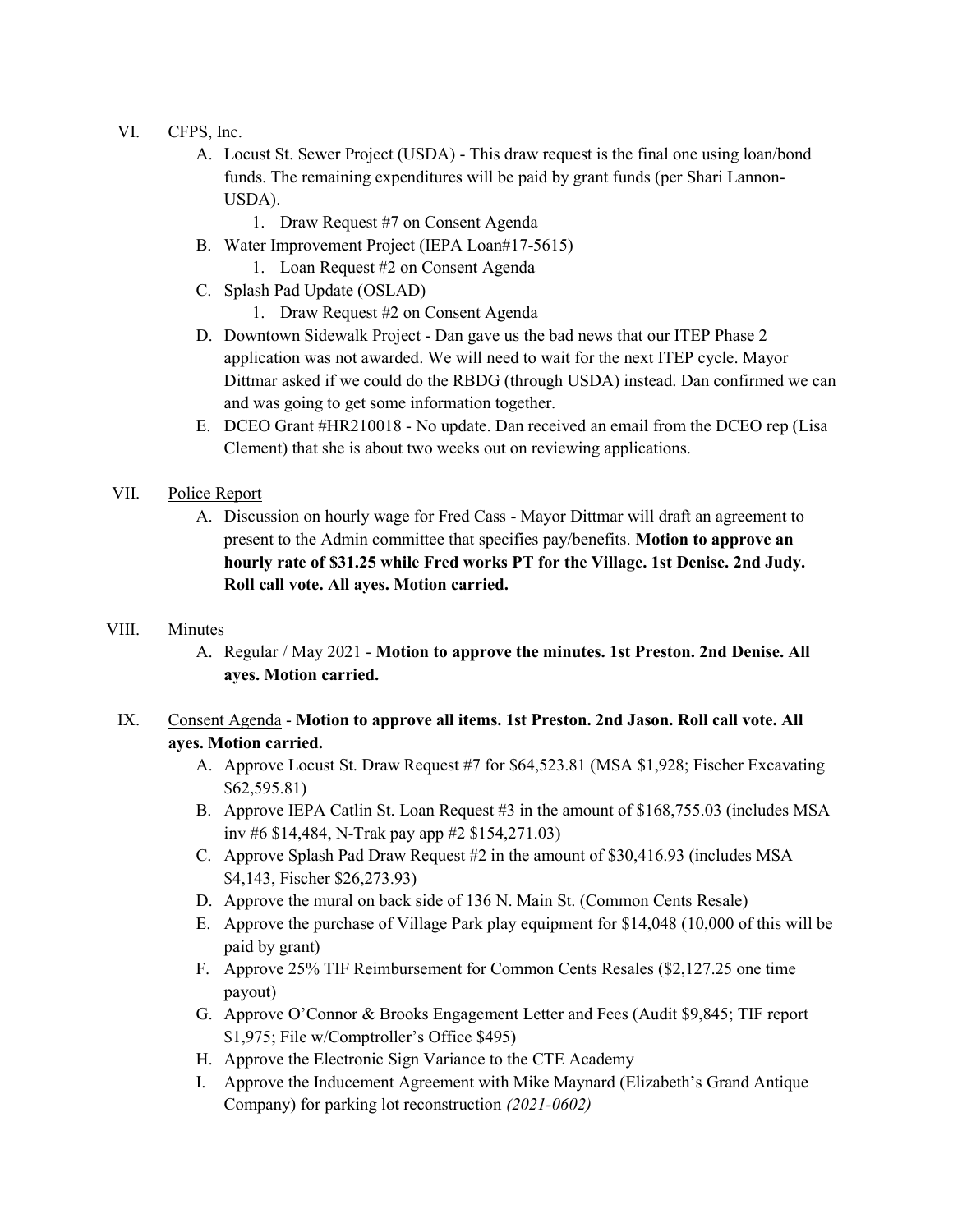## VI. CFPS, Inc.

- A. Locust St. Sewer Project (USDA) This draw request is the final one using loan/bond funds. The remaining expenditures will be paid by grant funds (per Shari Lannon-USDA).
	- 1. Draw Request #7 on Consent Agenda
- B. Water Improvement Project (IEPA Loan#17-5615)
	- 1. Loan Request #2 on Consent Agenda
- C. Splash Pad Update (OSLAD)
	- 1. Draw Request #2 on Consent Agenda
- D. Downtown Sidewalk Project Dan gave us the bad news that our ITEP Phase 2 application was not awarded. We will need to wait for the next ITEP cycle. Mayor Dittmar asked if we could do the RBDG (through USDA) instead. Dan confirmed we can and was going to get some information together.
- E. DCEO Grant #HR210018 No update. Dan received an email from the DCEO rep (Lisa Clement) that she is about two weeks out on reviewing applications.
- VII. Police Report
	- A. Discussion on hourly wage for Fred Cass Mayor Dittmar will draft an agreement to present to the Admin committee that specifies pay/benefits. Motion to approve an hourly rate of \$31.25 while Fred works PT for the Village. 1st Denise. 2nd Judy. Roll call vote. All ayes. Motion carried.

#### VIII. Minutes

- A. Regular / May 2021 Motion to approve the minutes. 1st Preston. 2nd Denise. All ayes. Motion carried.
- IX. Consent Agenda Motion to approve all items. 1st Preston. 2nd Jason. Roll call vote. All ayes. Motion carried.
	- A. Approve Locust St. Draw Request #7 for \$64,523.81 (MSA \$1,928; Fischer Excavating \$62,595.81)
	- B. Approve IEPA Catlin St. Loan Request #3 in the amount of \$168,755.03 (includes MSA inv #6 \$14,484, N-Trak pay app #2 \$154,271.03)
	- C. Approve Splash Pad Draw Request #2 in the amount of \$30,416.93 (includes MSA \$4,143, Fischer \$26,273.93)
	- D. Approve the mural on back side of 136 N. Main St. (Common Cents Resale)
	- E. Approve the purchase of Village Park play equipment for \$14,048 (10,000 of this will be paid by grant)
	- F. Approve 25% TIF Reimbursement for Common Cents Resales (\$2,127.25 one time payout)
	- G. Approve O'Connor & Brooks Engagement Letter and Fees (Audit \$9,845; TIF report \$1,975; File w/Comptroller's Office \$495)
	- H. Approve the Electronic Sign Variance to the CTE Academy
	- I. Approve the Inducement Agreement with Mike Maynard (Elizabeth's Grand Antique Company) for parking lot reconstruction (2021-0602)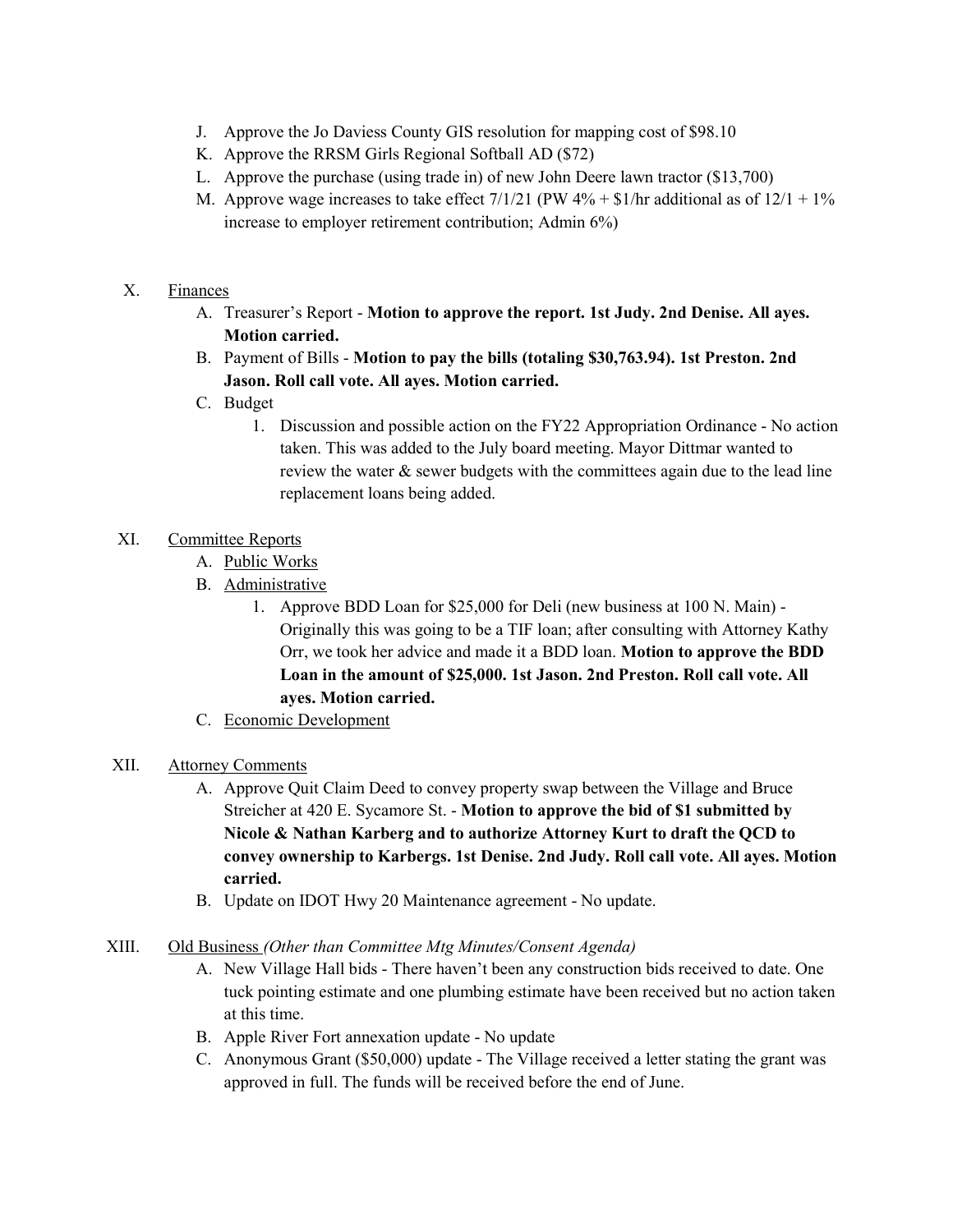- J. Approve the Jo Daviess County GIS resolution for mapping cost of \$98.10
- K. Approve the RRSM Girls Regional Softball AD (\$72)
- L. Approve the purchase (using trade in) of new John Deere lawn tractor (\$13,700)
- M. Approve wage increases to take effect  $7/1/21$  (PW  $4\%$  + \$1/hr additional as of  $12/1 + 1\%$ increase to employer retirement contribution; Admin 6%)

#### X. Finances

- A. Treasurer's Report Motion to approve the report. 1st Judy. 2nd Denise. All ayes. Motion carried.
- B. Payment of Bills Motion to pay the bills (totaling \$30,763.94). 1st Preston. 2nd Jason. Roll call vote. All ayes. Motion carried.
- C. Budget
	- 1. Discussion and possible action on the FY22 Appropriation Ordinance No action taken. This was added to the July board meeting. Mayor Dittmar wanted to review the water & sewer budgets with the committees again due to the lead line replacement loans being added.

## XI. Committee Reports

- A. Public Works
- B. Administrative
	- 1. Approve BDD Loan for \$25,000 for Deli (new business at 100 N. Main) Originally this was going to be a TIF loan; after consulting with Attorney Kathy Orr, we took her advice and made it a BDD loan. Motion to approve the BDD Loan in the amount of \$25,000. 1st Jason. 2nd Preston. Roll call vote. All ayes. Motion carried.
- C. Economic Development
- XII. Attorney Comments
	- A. Approve Quit Claim Deed to convey property swap between the Village and Bruce Streicher at 420 E. Sycamore St. - Motion to approve the bid of \$1 submitted by Nicole & Nathan Karberg and to authorize Attorney Kurt to draft the QCD to convey ownership to Karbergs. 1st Denise. 2nd Judy. Roll call vote. All ayes. Motion carried.
	- B. Update on IDOT Hwy 20 Maintenance agreement No update.

#### XIII. Old Business (Other than Committee Mtg Minutes/Consent Agenda)

- A. New Village Hall bids There haven't been any construction bids received to date. One tuck pointing estimate and one plumbing estimate have been received but no action taken at this time.
- B. Apple River Fort annexation update No update
- C. Anonymous Grant (\$50,000) update The Village received a letter stating the grant was approved in full. The funds will be received before the end of June.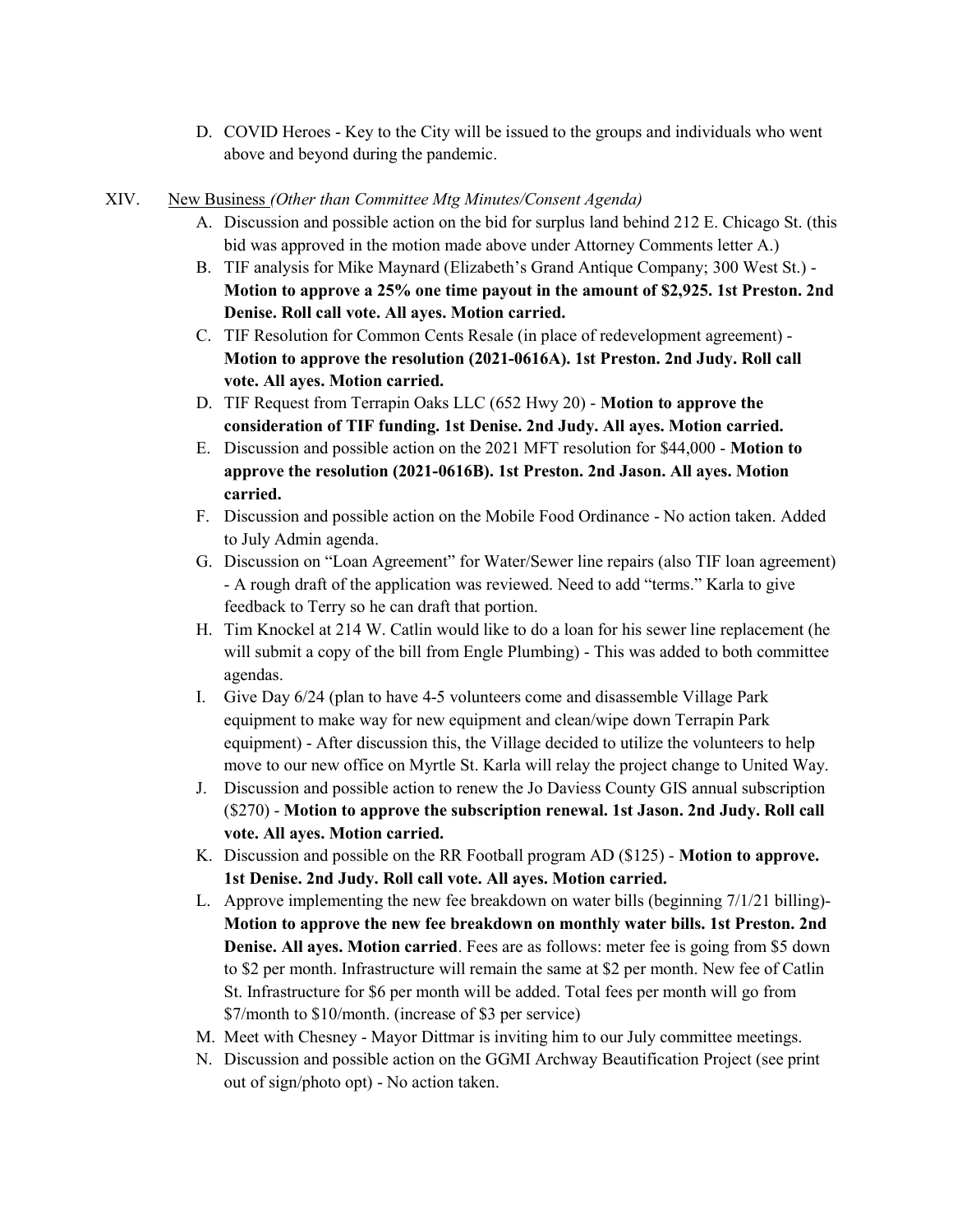D. COVID Heroes - Key to the City will be issued to the groups and individuals who went above and beyond during the pandemic.

#### XIV. New Business (Other than Committee Mtg Minutes/Consent Agenda)

- A. Discussion and possible action on the bid for surplus land behind 212 E. Chicago St. (this bid was approved in the motion made above under Attorney Comments letter A.)
- B. TIF analysis for Mike Maynard (Elizabeth's Grand Antique Company; 300 West St.) Motion to approve a 25% one time payout in the amount of \$2,925. 1st Preston. 2nd Denise. Roll call vote. All ayes. Motion carried.
- C. TIF Resolution for Common Cents Resale (in place of redevelopment agreement) Motion to approve the resolution (2021-0616A). 1st Preston. 2nd Judy. Roll call vote. All ayes. Motion carried.
- D. TIF Request from Terrapin Oaks LLC (652 Hwy 20) Motion to approve the consideration of TIF funding. 1st Denise. 2nd Judy. All ayes. Motion carried.
- E. Discussion and possible action on the 2021 MFT resolution for \$44,000 Motion to approve the resolution (2021-0616B). 1st Preston. 2nd Jason. All ayes. Motion carried.
- F. Discussion and possible action on the Mobile Food Ordinance No action taken. Added to July Admin agenda.
- G. Discussion on "Loan Agreement" for Water/Sewer line repairs (also TIF loan agreement) - A rough draft of the application was reviewed. Need to add "terms." Karla to give feedback to Terry so he can draft that portion.
- H. Tim Knockel at 214 W. Catlin would like to do a loan for his sewer line replacement (he will submit a copy of the bill from Engle Plumbing) - This was added to both committee agendas.
- I. Give Day 6/24 (plan to have 4-5 volunteers come and disassemble Village Park equipment to make way for new equipment and clean/wipe down Terrapin Park equipment) - After discussion this, the Village decided to utilize the volunteers to help move to our new office on Myrtle St. Karla will relay the project change to United Way.
- J. Discussion and possible action to renew the Jo Daviess County GIS annual subscription (\$270) - Motion to approve the subscription renewal. 1st Jason. 2nd Judy. Roll call vote. All ayes. Motion carried.
- K. Discussion and possible on the RR Football program AD (\$125) Motion to approve. 1st Denise. 2nd Judy. Roll call vote. All ayes. Motion carried.
- L. Approve implementing the new fee breakdown on water bills (beginning 7/1/21 billing)- Motion to approve the new fee breakdown on monthly water bills. 1st Preston. 2nd Denise. All ayes. Motion carried. Fees are as follows: meter fee is going from \$5 down to \$2 per month. Infrastructure will remain the same at \$2 per month. New fee of Catlin St. Infrastructure for \$6 per month will be added. Total fees per month will go from \$7/month to \$10/month. (increase of \$3 per service)
- M. Meet with Chesney Mayor Dittmar is inviting him to our July committee meetings.
- N. Discussion and possible action on the GGMI Archway Beautification Project (see print out of sign/photo opt) - No action taken.